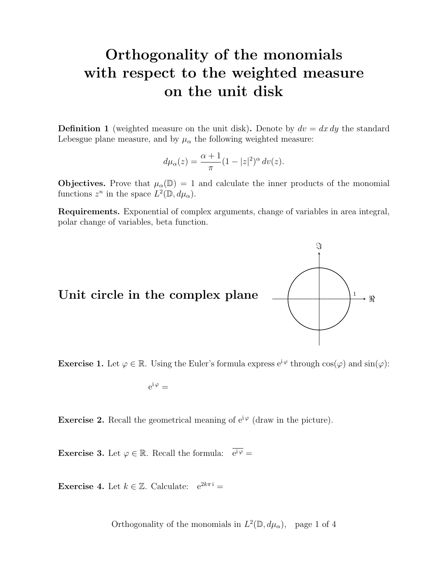# Orthogonality of the monomials with respect to the weighted measure on the unit disk

**Definition 1** (weighted measure on the unit disk). Denote by  $dv = dx dy$  the standard Lebesgue plane measure, and by  $\mu_{\alpha}$  the following weighted measure:

$$
d\mu_{\alpha}(z) = \frac{\alpha+1}{\pi} (1-|z|^2)^{\alpha} dv(z).
$$

**Objectives.** Prove that  $\mu_{\alpha}(\mathbb{D}) = 1$  and calculate the inner products of the monomial functions  $z^n$  in the space  $L^2(\mathbb{D}, d\mu_\alpha)$ .

Requirements. Exponential of complex arguments, change of variables in area integral, polar change of variables, beta function.

Unit circle in the complex plane  $\underline{\hspace{1cm}}$   $\qquad \qquad$ 



**Exercise 1.** Let  $\varphi \in \mathbb{R}$ . Using the Euler's formula express  $e^{i\varphi}$  through  $\cos(\varphi)$  and  $\sin(\varphi)$ :

$$
e^{i\,\varphi} =
$$

**Exercise 2.** Recall the geometrical meaning of  $e^{i\varphi}$  (draw in the picture).

**Exercise 3.** Let  $\varphi \in \mathbb{R}$ . Recall the formula:  $\overline{e^{i\varphi}} =$ 

**Exercise 4.** Let  $k \in \mathbb{Z}$ . Calculate:  $e^{2k\pi i} =$ 

Orthogonality of the monomials in  $L^2(\mathbb{D}, d\mu_\alpha)$ , page 1 of 4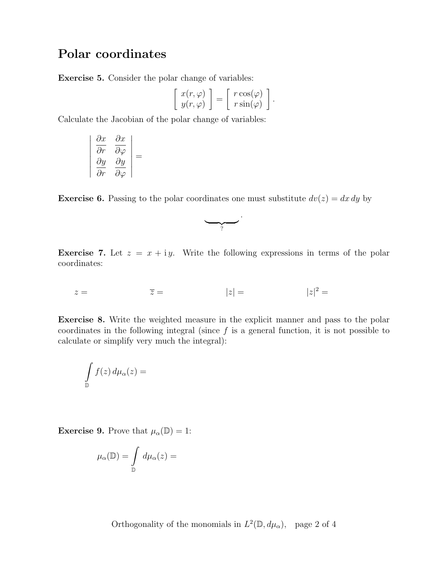#### Polar coordinates

Exercise 5. Consider the polar change of variables:

$$
\left[\begin{array}{c} x(r,\varphi) \\ y(r,\varphi) \end{array}\right] = \left[\begin{array}{c} r\cos(\varphi) \\ r\sin(\varphi) \end{array}\right].
$$

Calculate the Jacobian of the polar change of variables:

$$
\begin{vmatrix}\n\frac{\partial x}{\partial r} & \frac{\partial x}{\partial \varphi} \\
\frac{\partial y}{\partial r} & \frac{\partial y}{\partial \varphi}\n\end{vmatrix} =
$$

**Exercise 6.** Passing to the polar coordinates one must substitute  $dv(z) = dx dy$  by



**Exercise 7.** Let  $z = x + iy$ . Write the following expressions in terms of the polar coordinates:

 $z = \overline{z} = |z| = |z|^2 =$ 

Exercise 8. Write the weighted measure in the explicit manner and pass to the polar coordinates in the following integral (since  $f$  is a general function, it is not possible to calculate or simplify very much the integral):

$$
\int\limits_{\mathbb{D}} f(z) \, d\mu_{\alpha}(z) =
$$

**Exercise 9.** Prove that  $\mu_{\alpha}(\mathbb{D}) = 1$ :

$$
\mu_{\alpha}(\mathbb{D}) = \int_{\mathbb{D}} d\mu_{\alpha}(z) =
$$

Orthogonality of the monomials in  $L^2(\mathbb{D}, d\mu_\alpha)$ , page 2 of 4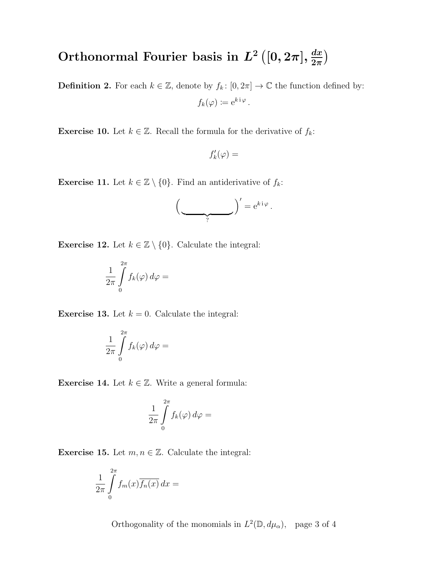#### Orthonormal Fourier basis in  $L^2([0,2\pi], \frac{dx}{2\pi})$  $\frac{dx}{2\pi}\Big)$

**Definition 2.** For each  $k \in \mathbb{Z}$ , denote by  $f_k : [0, 2\pi] \to \mathbb{C}$  the function defined by:  $f_k(\varphi) \coloneqq e^{k \, \mathrm{i} \, \varphi}$ .

**Exercise 10.** Let  $k \in \mathbb{Z}$ . Recall the formula for the derivative of  $f_k$ :

$$
f'_k(\varphi) =
$$

**Exercise 11.** Let  $k \in \mathbb{Z} \setminus \{0\}$ . Find an antiderivative of  $f_k$ :

$$
\left(\frac{\sigma}{\sigma^2}\right)' = e^{k i \varphi}.
$$

**Exercise 12.** Let  $k \in \mathbb{Z} \setminus \{0\}$ . Calculate the integral:

$$
\frac{1}{2\pi}\int\limits_{0}^{2\pi}f_{k}(\varphi)\,d\varphi=
$$

**Exercise 13.** Let  $k = 0$ . Calculate the integral:

$$
\frac{1}{2\pi}\int\limits_{0}^{2\pi}f_{k}(\varphi)\,d\varphi=
$$

**Exercise 14.** Let  $k \in \mathbb{Z}$ . Write a general formula:

$$
\frac{1}{2\pi}\int\limits_{0}^{2\pi}f_{k}(\varphi)\,d\varphi=
$$

**Exercise 15.** Let  $m, n \in \mathbb{Z}$ . Calculate the integral:

$$
\frac{1}{2\pi}\int\limits_{0}^{2\pi}f_m(x)\overline{f_n(x)}\,dx=
$$

Orthogonality of the monomials in  $L^2(\mathbb{D}, d\mu_\alpha)$ , page 3 of 4